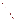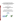## **U.S. Environmental Protection Agency Environmental Technology Verification Program Advanced Monitoring Systems Center**

and

# **Environment Canada Environmental Technology Verification Program**

Joint Verification Protocol for Technologies for Rapid Detection of Whole Soil and Soil Extract Toxicity





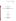### **Joint Verification Protocol**

**for** 

## **Verification of Technologies for Rapid Detection of Whole Soil and Soil Extract Toxicity**

**July 29, 2008** 

**Prepared by** 

**Battelle 505 King Avenue Columbus, OH 43201-2693** 

**and** 

**Environment Canada Environmental Science and Technology Centre (ESTC) 335 River Road Ottawa, ON K1A 0H3**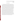#### **AKNOWLEDGMENTS**

 This joint verification protocol was developed through a collaboration between the Environmental Technology Verification (ETV) programs of the United States and Canada and is intended for use by both Canada and the United States either individually or together in jointly verifying technologies which will be recognized by both countries. This joint protocol can also be used by a vendor who would like to receive verification from either or both countries. This joint verification protocol expands upon and replaces the generic verification protocol previously prepared by the U.S. Environmental Protection Agency's (EPA's) ETV Advanced Monitoring Systems (AMS) Center (*Generic Verification Protocol for Technologies for Rapid Detection of Soil Toxicity*, April 2007). The AMS Center's generic protocol was prepared in coordination with the EPA's Office of Solid Waste and Emergency Response and National Exposure Research Laboratory and included input from vendors and stakeholders. Peer reviewers for the protocol were Robert Seyfarth, Kenneth Hill, and Amy Juchatz of the Suffolk County (New York) Department of Health Services' Division of Environmental Quality; Dr. John Hayse, I. Hlohoskyj, and Leroy Walston of Argonne National Laboratory's Environmental Science Division; and Dr. Karen Bradham of EPA's National Exposure Research Laboratory. Dr. Lisa Taylor of Environment Canada's Environmental Science and Technology Centre provided significant contribution to the revision of the AMS Center's generic protocol to create the joint protocol. The contributions to this protocol from John Neate of ETV Canada are also gratefully acknowledged. The joint protocol was reviewed by Robert Seyfarth and Leroy Walston, as well as by Deana Crumbling of EPA's Office of Solid Waste and Emergency Response.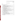### **TABLE OF CONTENTS**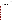### **List of Tables** Page

| Table 2. DQIs and Criteria for Critical Measurements for Reference Method  15 |  |
|-------------------------------------------------------------------------------|--|
|                                                                               |  |
|                                                                               |  |
|                                                                               |  |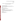## **DISTRIBUTION LIST FOR U.S. EPA ETV AND ENVIRONMENT CANADA ETV JOINT VERIFICATION PROTOCOL**

### **U.S. Environmental Protection Agency**

Douglas Grosse, ETV Advanced Monitoring Systems (AMS) Center Project Officer Lauren Drees, Director of Quality Assurance, National Risk Management Research Laboratory Teresa Harten, EPA ETV Program Director

### **Battelle**

Amy Dindal, AMS Center Manager Mary Schrock, Verification Test Coordinator Zachary Willenberg, AMS Center Quality Manager

### **Environment Canada**

Abe Finkelstein, Chief, Innovative Solutions Section, Science & Technology Branch Raymond Klicius, Head, Incentive Programs, Science & Technology Branch Lisa Taylor, Ph.D., Manager, Method Development and Applications Section, Biological Methods Division, Environmental Science and Technology Centre

### **ETV Canada**

Steve Guerin, General Manager Mona El Hallak, Senior Technical Director John Neate, Senior Associate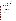### **DISTRIBUTION LIST FOR TEST/QUALITY ASSURANCE PLANS**

*Note: Test/Quality Assurance Plans developed from this Joint Verification Protocol for verifications which will be recognized by both the U.S. and Canada should be distributed to the Verification Program and Verification Organization associated with both countries. Verifications which apply to one country require distribution only to the Verification Program and Verification Organization pertinent to the verifying country.* 

**Verification Program (United States: U.S. EPA ETV, Canada: Environment Canada ETV)** 

**Verification Organization (United States: Battelle AMS Center, Canada: ETV Canada, Verification entity to be determined)** 

**Peer Reviewers** 

**Vendors of Technologies for Rapid Detection of Soil Toxicity** 

**Reference Laboratory** 

**Test Facility, if applicable** 

**Test Collaborators, if applicable** 

**Subcontractors, if applicable**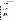### **LIST OF ABBREVIATIONS/ACRONYMS**

- AMS Advanced Monitoring Systems
- COA certificate of analysis
- COC chain-of-custody
- DQI data quality indicator
- $EC_{50}$  median effective concentration causing 50% inhibition
- EPA U.S. Environmental Protection Agency
- ETV Environmental Technology Verification
- LOEC lowest observed effect concentration
- LRB laboratory record book
- MSD minimum significant difference
- NIST National Institute of Standards and Technology
- NOEC no observed effect concentration
- PCB polychlorinated biphenyl
- PD percent difference
- pdf Adobe portable document format
- PE performance evaluation
- QA quality assurance
- QC quality control
- QCS quality control samples
- QMP quality management plan
- RSD relative standard deviation
- SOP standard operating procedure
- TCDD 2,3,7,8-tetrachlorodibenzodioxin
- TQAP test/quality assurance plan
- TSA technical systems audit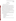### **SECTION A PROJECT MANAGEMENT**

#### <span id="page-9-0"></span>**A1 VERIFICATION TEST ORGANIZATION**

This protocol provides generic procedures for implementing a verification test for technologies that rapidly detect soil toxicity in whole soil or soil extracts. This protocol outlines a testing approach which is acceptable under both the U.S. EPA ETV and ETV Canada verification programs. However, acceptability of the testing approach as outlined in this protocol does not imply automatic verification by both the U.S. EPA ETV and ETV Canada verification programs. Each specific round of testing will require preparation of a Test/Quality Assurance Plan (TQAP). The TQAP will specify which verification programs and verification organizations are involved in testing and verifying the technologies involved. This could be jointly with both the U.S. EPA ETV and ETV Canada programs conducting testing and verification together, in which the verification would be recognized by both countries' programs, or individually where either U.S. EPA ETV or ETV Canada conducts testing and verification and the verification is recognized by only one country's program.

Because the organizations involved in testing may vary, specific roles and responsibilities will not be defined here, but must be defined in the TQAP prepared for each round of testing. Information on roles and responsibilities defined in each TQAP should include the following groups or individuals involved in each test:

- Verification program(s)
- Verification organization(s)
- Key testing staff (verification organization program manager, testing leaders, verification coordinators, technical staff, etc.)
- Technology vendors
- Reference laboratories
- Test facilities
- Quality Managers for both the verification program and the verification organization.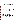#### <span id="page-10-0"></span>**A2 BACKGROUND**

The purpose of verification programs such as the U.S. EPA and Canadian Environmental Technology Verification (ETV) programs is to provide objective and quality-assured performance data on environmental technologies, so that users, developers, regulators, and consultants can make informed decisions about purchasing and applying these technologies. Stakeholder committees of buyers and users of such technologies recommend technology categories, and technologies within those categories, as priorities for testing. As documented in meeting minutes, technologies for rapidly detecting soil toxicity were identified as a priority technology category through the U.S. EPA ETV Advanced Monitoring System (AMS) Center stakeholder process since these technologies have the potential to make the evaluation of soil toxicity more efficient and timely.

Soil toxicity testing can be used at hazardous waste sites to screen for particular areas of concern or to assist in monitoring the effectiveness of cleanup. Soil toxicity tests do not require knowing the contaminants present at the site; they are typically used as a broad range screen of all potentially toxic compounds that may be present. Traditional soil toxicity tests include evaluations such as seed germination and root elongation, as well as organism-based tests such as earthworm survival.<sup>(1)</sup> Tests such as these can take several weeks to achieve results. This protocol provides procedures for a verification test of rapid analysis technologies that detect toxicity in whole soil and soil extracts. The objective of this soil toxicity technology verification test is to evaluate the technology's ability to detect certain analytes that are particularly toxic to humans by adding them, individually, to a controlled experimental matrix, as well as by testing various "real-world" soil samples where the toxins may be present alone or with various other toxins. This joint protocol outlines testing for a number of contaminants that are common to site cleanups and known to be toxic, but does not include all toxic compounds or testing in all situations which may be encountered in a site cleanup or evaluation situation. Data generated from verification tests based on this joint protocol are intended to provide one set of objective and quality assured performance data on soil rapid toxicity technologies, to assist users, developers, regulators, and consultants in making informed decisions about purchasing and properly applying these technologies.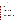<span id="page-11-0"></span>This verification test will determine the performance characteristics of commercially available technologies that can provide results that make quicker, more efficient soil toxicity determinations than the traditional tests which may take several weeks. Critical characteristics of the soil toxicity technologies that will be assessed during this testing include the following:

- **Endpoint**
- **Precision**
- False negative rate
- False positive rate
- **Sensitivity**
- Matrix effects
- Data completeness
- Operational factors such as ease of use and maintenance
- Field portability.

### **A3 VERIFICATION TEST DESCRIPTION AND SCHEDULE**

### **A3.1 Summary of Technology Category**

Technologies applicable to this technology category can be those designed to directly test the soil, or just the soil extract. These technologies are not intended to be a substitute for chemical analyses for contaminants of interest but rather can be used as a complement that provides an assessment of the biological response of toxicity. Conventional soil toxicity methods often can take weeks to achieve results. Technologies to be evaluated in the verification of rapid soil toxicity technologies include those that produce results within a substantially reduced time. This may be within 24 hours for technologies that test soil extracts to within several days for those involving whole soil. Such rapid soil toxicity technologies have the potential to expedite the decision-making process for regulators. Rapid soil toxicity technologies do not provide a measured concentration of specific toxins; rather, they provide a broad range screen of the toxic nature of the soil. Specific procedures for the operation of each technology will be supplied as part of the verification test. For technologies which operate by extracting an aliquot of soil and then testing the extract, an extract may be added to bacteria, bioluminescent plankton, or other such organisms or compounds which produce a measurable response that varies based on the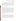toxicity of contaminants in the soil. The specific response may vary by technology, but could include a change in color or light intensity, respiration rate, or other response that is related to the concentration level of the contaminant(s). Similarly, whole soil tests may involve germinating seeds in both contaminated soil and reference soil and comparing the decrease or absence of germination or root growth in the contaminated soil to that which occurs in the reference soil. In this case, the inhibition in germination or root growth is related to contaminant concentration levels.

#### **A3.2 Verification Test Schedule**

A verification test following this protocol should take approximately nine months to complete. Test planning and preparation may take place over a period of several months once vendors are committed to the test. Actual testing should be completed within two months. Data review and reporting should be completed within four to five months. Table 1 shows a general schedule of testing and data analysis/reporting activities to be conducted in a verification test that follows this protocol. The test procedures are described in Section B of this protocol. Subsequent to testing, a separate verification report will be drafted for each technology. Each draft report will be peer-reviewed, revised, and submitted for final approval. Technologies for detecting soil toxicity and associated equipment (but not consumables) will be returned to the vendors at the completion of report writing.

#### **A3.3 Test Facility**

The test facility should be a location that can accommodate laboratory testing of technologies for detecting toxicity in soil. This could be laboratory facilities at Battelle, Environment Canada, or other such laboratory facilities that routinely test soil. Field portability testing, if applicable, will be conducted by transporting the technology from a laboratory to a non-laboratory area. In addition to a traditional field setting, non-laboratory areas could include warehouses, shipping/receiving areas, storerooms, courtyards, and/or parking lots.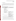#### <span id="page-13-0"></span>**A3.4 Health and Safety**

All reference analyses and verification testing will follow the safety and health protocols in place for the test facility. This includes maintaining a safe work environment and a current awareness of handling potentially toxic chemicals. Exposure to potentially toxic chemicals will be minimized, personal protective equipment will be worn, and safe laboratory practices will be followed.

| <b>Month</b> | <b>Testing Activities</b>                                                                                                                                                                             | <b>Data Analysis and Reporting</b>                                                                                                                                              |
|--------------|-------------------------------------------------------------------------------------------------------------------------------------------------------------------------------------------------------|---------------------------------------------------------------------------------------------------------------------------------------------------------------------------------|
| $1 - 2$      | Prepare draft TQAP and submit for<br>vendor and peer reviews                                                                                                                                          |                                                                                                                                                                                 |
| $2 - 3$      | Revise draft TQAP<br>Finalize and obtain vendor<br>approval of TQAP<br>Procure necessary standards and<br>reagents<br>• Vendor to set up technology and<br>train technical staff on technology<br>use |                                                                                                                                                                                 |
| $4 - 5$      | Conduct verification tests<br>Conduct reference tests and<br>performance evaluation audit of<br>reference methods<br>Conduct technical systems audit                                                  | Review and compile test data and records as<br>they become available<br>Review and summarize verification testing staff<br>observations<br>Begin preparation of report template |
| 6            |                                                                                                                                                                                                       | Evaluate and analyze data generated during<br>testing<br>• Conduct data quality audits<br>Complete report template                                                              |
| 7            |                                                                                                                                                                                                       | Complete draft reports and submit for vendor<br>and peer review                                                                                                                 |
| 8            |                                                                                                                                                                                                       | Revise draft reports and submit final reports for<br>approval by the verification program                                                                                       |
| 9            | Return equipment to vendors                                                                                                                                                                           | Distribute finalized, approved reports<br>$\bullet$<br>Post reports and verification statements on<br>verification program and verification<br>organization web sites           |

### **Table 1. General Verification Test Schedulea**

<sup>a</sup> Verification schedule begins once vendor(s) and collaborators(s) are committed to the verification test.

#### **A4 QUALITY OBJECTIVES AND CRITERIA FOR MEASUREMENT DATA**

In performing the verification test, the verification organization will follow the technical and QA procedures specified in this protocol and will comply with the data quality requirements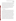in the verification organization's quality management plan. The objective of this verification test is to evaluate the performance of soil toxicity detecting technologies in their ability to measure the presence of toxins in whole soil or soil extracts under controlled laboratory conditions. This evaluation will assess the capabilities of the soil toxicity technologies to detect toxins added to a controlled experimental matrix, as well as their ability to detect toxins in "real-world" environmental samples. The evaluation will include a comparison of the soil toxicity technology results to known concentrations of toxins in the test samples that will be confirmed as described in Section B4. Additionally, this verification test will rely upon verification testing staff observations to assess other performance characteristics of the technologies. Below is a discussion of the quality objectives and the criteria for measurement data that have been established to ensure that the test objectives are met.

#### **A4.1 Quality Objectives**

Data quality objectives assure that the data quality, quantity, and type are appropriate to meet the verification test objectives and specify the minimum acceptance criteria for these parameters. Data quality objectives for this verification test include those related to the reference method performance and those related to the soil toxicity detecting technology performance, as well as those related to documenting verification testing staff observations. Data quality objectives for the reference methods (see Section B4) are presented in terms of data quality indicator (DQI) criteria for the critical measurements associated with the reference methods. The DQI criteria are listed in Table 2 and discussed in Section A4.2. The reference method data quality relies, in part, on proper sample preparation, proper application of the reference method, and proper maintenance of reference method instrumentation. The verification organization will rely on the vendor's data quality objectives for each technology in order to ensure that the technology is performing properly during testing. This will include adhering to each vendor's criteria for calibration and performance of positive and negative control samples. The technology data quality relies on proper operation and maintenance of the technologies and proper sample preparation, as instructed by the vendor. Quantitative data quality objectives for the operator observations have not been defined but are incorporated into documentation requirements and data review, verification, and validation requirements for this verification test.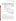| <b>DQI</b>                                     | <b>Method of</b><br><b>Assessment</b>                                                                                         | <b>Frequency</b>                                                            | <b>Minimum</b><br><b>Acceptance</b><br><b>Criteria</b>                                                                                             | <b>Corrective Action</b>                                                                                                                                                                                                           |
|------------------------------------------------|-------------------------------------------------------------------------------------------------------------------------------|-----------------------------------------------------------------------------|----------------------------------------------------------------------------------------------------------------------------------------------------|------------------------------------------------------------------------------------------------------------------------------------------------------------------------------------------------------------------------------------|
| Bias and Accuracy<br>of Sample<br>Measurements | Initial Calibration-<br>various levels as<br>specified in<br>reference method                                                 | As required in<br>reference<br>method                                       | Refer to reference<br>method criteria                                                                                                              | Investigate sources of<br>contamination or changes<br>in instrument parameters;<br>perform instrument<br>maintenance as needed;<br>reanalyze fresh standard or<br>sample, or repeat initial<br>calibration.                        |
|                                                | <b>Calibration Check</b><br>Sample—single-<br>level continuing<br>check of calibration<br>as specified in<br>reference method | As required in<br>reference<br>method                                       | Refer to reference<br>method criteria                                                                                                              |                                                                                                                                                                                                                                    |
|                                                | Method Blank                                                                                                                  | As required in<br>reference<br>method                                       | Refer to reference<br>method criteria                                                                                                              |                                                                                                                                                                                                                                    |
|                                                | <b>Spiked Samples</b>                                                                                                         | As required in<br>reference<br>method                                       | Refer to reference<br>method criteria                                                                                                              |                                                                                                                                                                                                                                    |
| Completeness                                   | Amount of valid<br>data obtained                                                                                              | Overall<br>number of<br>data points<br>collected for<br>reference<br>method | 90% of overall data<br>points collected should<br>be valid.                                                                                        | If feasible, analyze<br>additional samples to meet<br>the acceptance criterion.                                                                                                                                                    |
| Method<br>Representativeness                   | Performance Test<br>Sample                                                                                                    | Once, prior to<br>verification<br>testing                                   | Results within $\pm$ 10%<br>of expected value for<br>standard solutions,<br>results within certified<br>limits for standard<br>reference materials | Evaluate reference method<br>performance; perform<br>maintenance or<br>recalibration as required,<br>repeat performance test. If<br>performance test criteria<br>cannot be met, consider<br>alternative reference<br>laboratories. |

### <span id="page-15-0"></span>**Table 2. DQIs and Criteria for Critical Measurements for Reference Method**

### **A4.2 Criteria for Measurement Data**

Table 2 presents the DQIs and general criteria for the reference method critical measurements. Specific criteria should be added to the TQAP once the reference method is known. The reference method measurement quality will be ensured by adhering to these DQI criteria and monitored by following the calibration procedures and frequency recommended in each respective reference method and by including method blank or spiked samples as indicated in each reference method. Additionally, performance test samples will be sent to each laboratory providing reference method analyses prior to analysis of verification test samples. Performance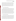<span id="page-16-0"></span>test samples will be standard solutions or standard reference materials containing known quantities of the analytes of interest. Each vendor will provide criteria for the soil toxicity technologies for critical measurements related to calibration standards and recommendations for appropriate positive and negative controls and their critical measurements. The verification organization's Quality Manager or designee will perform a TSA at least once during this verification test to review these QA/quality control (QC) requirements. The ETV verification program's Quality Manager (US and/or Canada) also may conduct an independent TSA if desired.

#### **A5 SPECIAL TRAINING/CERTIFICATION**

Documentation of training related to technology testing, field testing, data analysis, and reporting should be maintained for all technical staff involved in verification testing. Location of these training records should be documented in the TQAP. Documentation of the expertise and experience of collaborators and/or subcontractors must be similarly available. Any minimum education or experience requirements for testing staff should be specified in the TQAP. The verification organization Quality Manager may verify the presence of appropriate training records prior to the start of testing. If technical staff operate and/or maintain a technology during the verification test, the technology vendor will be required to train those staff prior to the start of testing. The verification organization will document this training with a consent form, signed by the vendor, that states which specific technical staff have been trained on their technology.

#### **A6 DOCUMENTATION AND RECORDS**

The records for this verification test will include the TQAP based on this protocol, chainof-custody (COC) forms, laboratory record books (LRBs), data collection forms, electronic files (both raw data and spreadsheets), and the final verification reports and verification statements. The storage location for these records should be specified the TQAP. The verification program(s) should be notified before disposal of any files. The QA/QC documentation and results of the reference measurements made by the reference laboratory should be submitted to the verification organization immediately upon completion of all sample analyses and maintained with the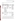<span id="page-17-0"></span>records for this test. Table 3 has further details regarding the data recording practices and responsibilities.

| Data to Be<br><b>Recorded</b>                                                                   | <b>Where Recorded</b>                                                                                                                                                                                                                                                          | <b>How Often</b><br><b>Recorded</b>                                                                            | By Whom                                                    | <b>Disposition of</b><br>Data                                                                                                                            |
|-------------------------------------------------------------------------------------------------|--------------------------------------------------------------------------------------------------------------------------------------------------------------------------------------------------------------------------------------------------------------------------------|----------------------------------------------------------------------------------------------------------------|------------------------------------------------------------|----------------------------------------------------------------------------------------------------------------------------------------------------------|
| Dates, times, and<br>details of test events,<br>technology<br>maintenance,<br>downtime, etc.    | ETV LRBs or data<br>recording forms                                                                                                                                                                                                                                            | Start/end of test<br>procedure, and at<br>each change of a test<br>parameter or change<br>of technology status | Technical staff                                            | Used to organize and<br>check test results;<br>manually<br>incorporated in data<br>spreadsheets as<br>necessary                                          |
| Technology<br>calibration<br>information                                                        | ETV LRBs, data<br>recording forms, or<br>electronically                                                                                                                                                                                                                        | At technology<br>calibration or<br>recalibration                                                               | Technical staff or<br>vendor performing<br>the calibration | Incorporated in<br>verification report as<br>necessary                                                                                                   |
| Technology readings                                                                             | Either recorded<br>electronically by the<br>technology and<br>downloaded to an<br>independent<br>computer or storage<br>medium, hard copy<br>data printed by the<br>technology and taped<br>into an ETV LRB, or<br>handwritten records<br>into an ETV LRB or<br>on data sheets | Every sample<br>analysis.                                                                                      | <b>Technical</b> staff                                     | Transferred to or<br>manually entered<br>into spreadsheet for<br>statistical analysis<br>and comparisons                                                 |
| Sample preparation<br>and reference<br>method analysis<br>procedures,<br>calibrations, QA, etc. | LRBs, COC, or other<br>data recording forms                                                                                                                                                                                                                                    | Throughout sampling<br>and analysis<br>processes                                                               | Technical staff and<br>Reference laboratory                | Retained as<br>documentation of<br>reference method<br>performance                                                                                       |
| Reference method<br>results                                                                     | Electronically from<br>analytical method or<br>documented in<br>handwritten records                                                                                                                                                                                            | Every sample<br>analysis                                                                                       | Reference laboratory                                       | Transferred to or<br>manually entered<br>into spreadsheets for<br>calculation of results,<br>and statistical<br>analysis and<br>comparisons as<br>needed |

**Table 3. Summary of Data Recording Process** 

All written records must be in ink. Any corrections to notebook entries, or changes in recorded data, must be made with a single line through the original entry. The correction is then to be entered, initialed, and dated by the person making the correction. In all cases, strict confidentiality of data from each vendor's technology, and strict separation of data from different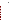vendors' technologies, will be maintained. Separate files (including manual records, printouts, and/or electronic data files) will be kept for each technology.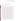### **SECTION B MEASUREMENT AND DATA ACQUISITION**

#### <span id="page-19-0"></span>**B1 EXPERIMENTAL DESIGN**

This joint protocol outlines testing for a number of contaminants that are common to site cleanups and known to be toxic to humans, but does not include all toxic compounds or testing in all situations which may be encountered in a site cleanup or monitoring situation. Data generated from verification tests based on this joint protocol are intended to provide one set of objective and quality assured performance data on rapid soil toxicity technologies, to assist users, developers, regulators, and consultants in making informed decisions about purchasing and properly applying these technologies that would be acceptable for consideration under both the US EPA ETV and ETV Canada verification programs. These technologies do not provide identification or concentration of specific contaminants, but serve as a rapid screening tool to determine whether the soil being tested is toxic. As part of this verification test, the technologies will be subjected to various concentrations of chemicals representing several categories of common contaminants such as commercial solvents, pesticides, persistent pollutants, and metals. At a minimum, the categories listed in Table 4 should be evaluated during verification testing. The specific compounds to be tested may be added or replace compounds in Table 4 (as described in the TQAP) depending upon the capabilities of the technologies being tested. For technologies evaluating soil extracts, each contaminant will be added individually to separate aliquots of sand, and the spiked sand will be analyzed by the technologies. Sand is recommended as the matrix for the spiking experiments because it is inert and it is anticipated will minimally retain the contaminants of interest thereby providing an estimate of technology performance in the case where nearly 100% of the contaminant would be extractable. For technologies evaluating whole soil, each contaminant will be added individually to separate aliquots of artificial soil [e.g., Organization of Economic Cooperation and Development (OECD) artificial soil], and the spiked soil will be analyzed by the technologies. Artificial soil is recommended for the whole soil technologies to optimize the biological response and more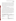<span id="page-20-0"></span>accurately simulate interactions of the chemical with soil properties. The physical properties of the artificial soil may vary depending on the desired characteristics (e.g., water content may be manipulated to optimize the biological response). The exact procedures for sample preparation will be detailed in each TQAP prepared for testing. Additionally, both soil extract and whole soil technologies will be challenged with "real-world" environmental samples of various soil types containing a variety of the contaminants in Table 4 to evaluate the technology performance on samples more representative of those found in practical application of the technologies. These samples are described in Section B1.1.

All of the technologies will be tested in a laboratory. The technologies designed for use in a field location will also be tested at a non-laboratory venue.

The analyses will be performed according to the vendor's recommended procedures as described in the user's instructions or manual, or during training provided to the technical staff. Similarly, calibration and maintenance of the technologies will be performed as specified by the vendor. Results from the technologies being verified will be recorded manually by the operator on appropriate data sheets or captured in an electronic data system and then transferred manually or electronically for further data workup. Qualitative operational characteristics of each technology such as ease of use will be assessed through observations made by the technical staff throughout the verification test. The results from each technology will be reported individually. According to ETV policy, no direct comparison will be made between technologies, but each technology will undergo similar testing and will be reported in a similar manner.

|  | <b>Table 4. Categories and Example Contaminants</b> |  |
|--|-----------------------------------------------------|--|
|--|-----------------------------------------------------|--|

| Category                  | <b>Example Contaminant</b>                         |  |
|---------------------------|----------------------------------------------------|--|
| Commercial solvents       | Trichloroethylene                                  |  |
|                           | Toluene                                            |  |
| Carbamate pesticide       | Aldicarb                                           |  |
| Organophosphate pesticide | Dicrotophos                                        |  |
| Metals                    | Arsenic                                            |  |
|                           | Lead                                               |  |
|                           | Mercury                                            |  |
|                           | Cadmium                                            |  |
| Persistent pollutants     | Polychlorinated biphenyls (PCBs) (as Aroclor 1254) |  |
|                           | 2,3,7,8- tetrachlorodibenzodioxin (TCDD)           |  |
|                           | Benzo[a]pyrene                                     |  |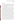### **B1.1 Test Procedures**

The verification test for technologies that detect toxicity in whole soil and/or soil extracts will focus on a broad range of samples to provide a variety of toxin concentrations. This verification will focus on evaluating dose/response relationships to specific contaminants known to be toxic to humans as well as assessing the technology's ability to provide a toxic response to real-world environmental samples for which known contaminants have been well characterized using standard analytical laboratory methods.

The first sample type will be performance test samples where individual toxins will be added to a clean sand or artificial soil. Sand is recommended for soil extract testing as an inert matrix which will minimally retain the toxins. Use of an inert matrix will eliminate the matrix itself from influencing the lowest detectable concentration of each contaminant and will evaluate technology performance under conditions where the toxin is anticipated to be nearly 100% extractable. For whole soil toxicity testing, an artificial soil is recommended to optimize the biological response and more accurately simulate interactions of the chemical with soil properties. Because the types of technologies anticipated to be tested will provide a broad range screen of all potentially toxic compounds that may be present, the sand/artificial soil selected should be free of any compounds which would cause a toxic response and not just free of the contaminants of interest for the verification test. The sand/artificial soil will be spiked with each contaminant at concentrations ten times screening or remediation goal levels (e.g., EPA Region 9 Superfund Preliminary Remediation Goals) as the highest concentration and will be analyzed in replicate (minimum of three). Subsequent tenfold dilutions (i.e., spiking the sand/artificial soil with a contaminant solution which is tenfold dilute from the starting level) will be prepared and analyzed in replicate (minimum of three) until there is no longer a measurable response indicating toxicity (i.e., inhibition as measured by each technology such as a reduction in light output, change in respiration rate, etc.), up to a maximum of five dilutions below the highest concentration. From these data, the lowest concentration at which the toxicity can be detected can be estimated for each technology with respect to each contaminant. The second sample type will be "real-world" environmental samples and will consist of 5 to 10 soils collected from various cleanup sites or standard reference soils with well documented soil characteristics. These samples will reflect a variety of soil types and will include soils known to contain the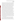contaminants of interest in this test (individually or in combination with other contaminants) as well as some soils which are known to be free of contaminants, such as American Society for Testing Materials artificial soil or Environmental Resource Associates Semivolatile Blank Soil (Catalog Number 056). The environmental samples will be dried and homogenized (e.g., oven dried using low heat with specifics to be detailed in the TQAP) prior to use in testing to ensure that sample homogeneity is not a significant factor in technology performance. Because the drying and homogenization process has the potential to affect the concentration of contaminants in the samples, the concentration of contaminants will be measured after the drying and homogenization process has taken place to ensure that the measured concentrations of contaminants in the environmental samples accurately reflect the material used in testing. Contaminants in the environmental samples will be measured using the same reference methods that will be used to confirm the concentration of spiked contaminants in the performance test samples. Appropriate soil characteristics such as total organic carbon, grain size distribution, and pH should also be measured once the environmental samples have been dried and homogenized. Information about the soil characteristics may aid in understanding differences in the various environmental samples that will be tested. To the extent possible, each time verification testing is conducted following this joint protocol, attempts should be made to use the same environmental sites, or at a minimum sites with comparable types of soil and types and quantities of contaminants. As with the performance test samples, environmental sample selection should be made with consideration of the fact that the rapid toxicity tests may respond to all toxic compounds and not just the contaminants included in verification testing. Therefore, environmental samples should be as well characterized as possible prior to use in testing. Test results, and in particular assessments of false positive/negatives and matrix effects, should take into consideration whether the technology could be responding to unknown toxic compounds in the samples. The third type of sample will be quality control samples. Quality control samples are discussed further in Section B5.

It should be noted that the technologies covered by this protocol may include test organisms (e.g., microorganisms or invertebrates) which may involve handling, culture or preparatory work and will likely vary with each type of technology. It is expected that each technology vendor will include instructions on proper preparation and handling of any test organisms and that each vendor will outline in detail any procedures necessary to ensure healthy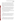Technologies for Rapid Detection of Whole Soil and Soil Extract Toxicity U.S. EPA ETV and Environment Canada ETV Joint Verification Protocol Page 23 of 42 Version 1.0 Date: 7/29/2008

test organisms (i.e., storage conditions, light, temperature, feeding etc.) and any procedures necessary to ensure an accurate measurement of the biological response (i.e., UV light, spectrophotometer, microscopes etc.). Additionally, each vendor will specify any QA aspects that should be monitored to ensure proper preparation and handling of organisms (i.e. fridge temperature records, calibration records, organism suppliers, taxonomic verification records, health records etc.). Any preparation or QA aspects which will be uniformly applied across all participating technologies will be detailed in the individual TQAPs prepared for tests performed using this protocol.

Also note that inter-unit reproducibility (e.g., test kits from different lots, multiple detectors, etc.) and inter-operator reproducibility are not addressed in this protocol. Should these parameters be desired, the procedures for evaluating them will need to be added to TQAPs prepared for specific tests. In general the same technician will be used to perform all testing where possible. At a minimum, only technicians with equivalent training and experience operating the technology will be used to perform verification testing.

The technologies will be evaluated for the parameters listed in sections B1.1.1 to B1.1.9. If modification of these parameters is required due to the nature of the technologies being tested, any changes will be described in the test-specific TQAP.

#### *B1.1.1 Endpoint*

Each technology produces its own unique biological or biochemical endpoint derived from the inhibition data gathered when analyzing various concentrations of contaminants in soil [e.g., median effective concentration causing 50% inhibition  $(EC_{50})$  values]. For each technology, the endpoint used for verification testing will be recommended by the vendor. The endpoint will be used to assess whether or not there was a response to a test sample.

### *B1.1.2 Precision*

Inhibition results (endpoints) specific to each technology from replicates (minimum of three) of each test sample will be evaluated. The average measurement, standard deviation (S), and relative standard deviation (RSD) of the replicate measurements will be calculated and reported in order to evaluate the precision of the technologies. To the extent possible and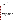appropriate, precision values will be reported with average data values so that measurement uncertainty is understood.

#### *B1.1.3 False Negative Rate*

The false negative rate, or frequency of performance test sample inhibitions which are similar to the negative control reported when a contaminant is present in the performance test sample at toxic concentrations, will be calculated. Note that real-world environmental samples could be used for the assessment of false negatives but this would make the evaluation much more complicated due to the possibility of matrix effects.

#### *B1.1.4 False Positive Rate*

The false positive rate, or frequency of performance test sample detectable inhibitions which are reported for unspiked samples, will be calculated. Note that real-world environmental samples could be used for the assessment of false positives but this would make the evaluation much more complicated due to the possibility of matrix effects.

#### *B1.1.5 Sensitivity*

Various contaminants will be added individually to a controlled experimental matrix at multiple concentration levels and analyzed by the participating technologies to assess their ability to detect the toxicity of these contaminants (performance test samples). After analyzing several concentrations of each contaminant (i.e., ten times the screening or remediation goal level specified in the TQAP and subsequent tenfold dilutions up to a maximum of five dilutions below the highest concentration), a sensitivity assessment will be made. The sensitivity assessment to be used will be described in the TQAP because it may depend on the technologies being tested. Examples of sensitivity assessments that could be used are an evaluation of the lowest tested concentration which gives a response significantly different from the negative control or a calculation of the lowest observed effect concentration (LOEC) and no observed effect concentration (NOEC) along with an associated minimum significant difference (MSD) value.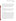#### *B1.1.6 Matrix Effects*

Five to ten environmental samples representing a variety of soil types and contaminants or mixtures of contaminants will be analyzed. The concentrations of contaminants present in the environmental samples will be measured according to reference methods. The technology's ability to detect contaminants in the environmental samples will be compared with the lowest detectable level of contaminant determined for each technology to assess whether the environmental sample matrix influenced the ability of the technology to detect toxicity.

#### *B1.1.7 Data Completeness*

Data completeness will be determined as the number of valid measurements (i.e., useable endpoint measurements with the technology) out of the total number of measurements taken. The cause of any substantial loss of data will be established from technical staff observations or technology records and noted in the discussion of the data completeness results.

#### *B1.1.8 Operational Factors*

Operational and sustainability factors such as maintenance needs, calibration frequency, data output, consumables used, ease of use, repair requirements, waste production, and sample throughput will be evaluated based on technical staff observations. An LRB or data sheets will be used to document observations. Examples of information to be recorded include the daily status of diagnostic indicators for the technology, use or replacement of any consumables, the effort or cost associated with maintenance or repair, vendor effort (e.g., time on-site) for repair or maintenance, the duration and causes of any technology downtime or data acquisition failure, quantity and hazardous nature of any waste generated, how to safely dispose of such waste, operator observations about technology ease of use, clarity of the vendor's instruction manual, user-friendliness of any needed software, overall convenience of the technologies and accessories/consumables, and the number of samples that could be processed per hour or per day. These observations will be summarized to aid in describing the technology performance in the verification report on each technology.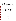#### *B1.1.9 Field Portability*

Testing the operation of the technologies in a field setting is a key component of the verification test. Evaluating the performance of each field-portable technology while being used outside the laboratory without the availability of miscellaneous laboratory supplies is important to the buyers and users of these technologies. Technologies will be evaluated in a field setting only if the vendor states that the technology has that capability. For those technologies that are meant to be field-portable, this parameter will be assessed by transporting the technology to a non-laboratory location. In addition to traditional field settings, non-laboratory areas could include warehouses, shipping/receiving areas, storerooms, courtyards, and/or parking lots provided the location meets the criteria that the area is absent of laboratory amenities such as laboratory bench space, power, lighting, temperature control, storage and refrigeration, etc. as would be the case in a traditional field setting. Ideally all of the samples included in the labbased tests would be repeated in the field; however, at a minimum one performance test sample or environmental sample that had a strong response in the lab-based tests will be analyzed in triplicate in the field. Results obtained in the field will be compared with the results for the same sample obtained in the laboratory by the same technician where possible, or at a minimum by a technician with equivalent training and experience operating the technology to the technician who performed the laboratory analysis. Technical staff will also record observations related to field portability such as requirements for power, space, and ease of use in and transport to a nonlaboratory setting.

#### **B1.2 Statistical Analysis**

The statistical methods and calculations used for evaluation of the quantitative performance parameters are described in the following sections.

#### *B.1.2.1 Endpoint*

Each technology produces its own unique endpoint derived from the inhibition data gathered when analyzing various concentrations of contaminants in soil (e.g.,  $EC_{50}$  values). For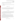each technology, these data will be documented and presented with respect to each contaminant and concentration level using the appropriate endpoint for the technology.

#### *B1.2.2 Precision*

The standard deviation (*S*) of the results for the replicate analyses of the same sample will be calculated as follows.

$$
S = \left[\frac{1}{n-1} \sum_{k=1}^{n} \left(M_k - \overline{M}\right)^2\right]^{1/2} \tag{1}
$$

where *n* is the number of replicate samples,  $M_k$  is the endpoint measurement for the  $k^{\text{th}}$  sample, and *M* is the average endpoint measurement of the replicate samples. The technology precision for each sample will be reported in terms of RSD, which will be calculated as follows.

$$
RSD(\%)=\left|\frac{S}{M}\right| \times 100\tag{2}
$$

The average (M), standard deviation (S) and relative standard deviation (RSD) values for each analyte at each concentration will be listed in data tables in the verification report; however, verification statements and performance summary tables in the verification report will list the range of RSDs obtained for all concentrations of each contaminant tested.

#### *B1.2.3 False Negative Rate*

Results will be considered false negative only when a technology is exposed to a contaminant concentration greater than the desired remediation or screening level and the technology does not indicate inhibition greater than the negative control. The rate of false negatives, expressed as a percentage of total samples analyzed for each contaminant, will be calculated by dividing the number of false negative measurements  $(M_{fn})$  by the total number of measurements included in verification testing ( $M_{total}$ ).

$$
FalseNegative(\% ) = \frac{M_{\text{fn}}}{M_{\text{total}}} \times 100 \tag{3}
$$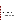#### *B1.2.4 False Positive Rate*

Results will be considered false positive only when an unspiked sample produces inhibition greater than that of the negative control. The rate of false positives, expressed as a percentage of total samples analyzed for each contaminant, will be calculated by dividing the number of false positive measurements  $(M_{fp})$  by the total number of measurements included in verification testing ( $M_{total}$ ).

$$
FalsePositive(\% ) = \frac{M_{fp}}{M_{total}} \times 100 \tag{4}
$$

#### *B1.2.5 Sensitivity*

The sensitivity of the technology for detecting various contaminants in performance test samples (i.e., sand spiked with contaminant) will be assessed. The exact procedures used to assess sensitivity will be detailed in each TQAP developed from this protocol. Sensitivity assessments that could be used are an evaluation of the lowest tested concentration of each contaminant where the average inhibition plus or minus the standard deviation does not overlap with the average inhibition plus or minus the standard deviation of the negative control or determination of the LOEC and NOEC values along with an associated MSD value calculated using an appropriate parametric multiple-comparison method (e.g., Dunnett's test). The sensitivity of the reference method will not be assessed other than it must meet the DQI requirements (Table 2).

#### *B1.2.6 Matrix Effects*

The technology's ability to detect each contaminant in the environmental samples will be compared with the technology's lowest detectable contaminant level determined by spiking the contaminant into an inert matrix (i.e., sand) as described in Section B1.2.5. If the contaminant concentration in the environmental sample (measured using reference methods described in Section B4) is above the lowest detectable level in an inert matrix (as determined in Section B1.2.5), but the technology result for the environmental sample is negative, matrix effects will be considered to have contributed to this false negative response. It should be noted that rapid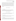toxicity technologies are intended to respond to all toxic compounds and not just contaminants of interest in this verification test. As broad screens of toxicity, these technologies may also be susceptible to toxicity potentiation and antagonism. Therefore, the matrix effect results reported should consider the possibility of such toxicity effects and include discussion of such effects in the verification report so that readers can understand matrices where the toxic response may be affected. The number of environmental samples where matrix effects affected results (*Mmatrix*) out of the total number of environmental samples tested  $(M_{total})$  will be reported as a percentage using Equation 5.

$$
MatrixEffect(\%) = \frac{M_{matrix}}{M_{total}} \times 100
$$
 (5)

#### *B1.2.7 Data Completeness*

Data completeness will be calculated as the percentage of the total possible data by dividing the number of valid data measurements generated by each technology (*Mvalid)* by the total number of data measurements included in verification testing  $(M_{total})$ .

$$
Completeness(\%) = \frac{M_{valid}}{M_{total}} \times 100
$$
\n(6)

The cause of any substantial loss of data will be established from operator observations or technology records and noted in the discussion of the data completeness results.

#### *B1.2.8 Operational Factors*

There are no statistical calculations applicable to operational factors. Operational factors will be determined based on documented observations of the technical staff.

#### *B1.2.9 Field Portability*

The results obtained from the measurements made on samples in the laboratory and field setting will be compiled independently for each technology and compared to assess the accuracy of the measurements under the different analysis conditions. Means and standard deviations of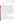<span id="page-30-0"></span>the endpoints generated in both locations will be compared and assessed for whether they are statistically different.

#### **B1.3 Reporting**

The data obtained in the verification test will be compiled separately for each vendor's technology, and the data evaluations will be applied to each technology's data set without reference to any other. At no time will data from different vendors' technologies be intercompared or ranked. Following completion of the data evaluations, a draft verification report and verification statement will be prepared for each vendor's technology, stating the verification test procedures and documenting the performance observed. For example, descriptions of the data acquisition procedures, use of vendor-supplied proprietary software, consumables used, repairs and maintenance needed, and the nature of any problems will be presented in the draft report. Each report will briefly describe the verification program(s), the verification organization(s), and the procedures used in verification testing. The results of the verification test will be stated quantitatively, without comparison to any other technology tested or comment on the acceptability of the technology's performance. Each draft verification report will be submitted for review by the respective technology vendor, by the verification program(s), and peer reviewers. Comments on the draft report will be addressed in revisions of the report. The peer review comments and responses will be tabulated to document the peer review process. The reporting and review process will be conducted according to the quality procedures set forth by the verification program(s) and the verification organization(s).

#### **B2 SAMPLING REQUIREMENTS**

#### **B2.1 Sample Collection, Storage, and Shipment**

Environmental samples will be collected for use in a verification test following the TQAP. As much as possible, samples will be obtained from known contaminated sites using the same sampling techniques that are in place at the site for the site evaluation process. Samples may be collected in bulk and shipped to the test facility in plastic buckets or other suitable containers. Shipments will be via a trackable overnight delivery service to the test facility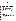<span id="page-31-0"></span>sample custodian. Samples will be stored refrigerated or frozen as is appropriate for the contaminants expected to be contained in the soil. Environmental samples will be dried (e.g., oven dried using low heat with specifics to be detailed in the TQAP) and homogenized prior to use in testing to ensure that sample heterogeneity is a minimal factor in testing multiple technologies. Because of the sample handling involved, the environmental samples will be homogenized before concentrations of contaminants are measured using the reference methods. Appropriate soil characteristics such as total organic carbon, grain size distribution, and pH should be measured once the environmental samples have been dried and homogenized. Information about the soil characteristics may aid in understanding differences in the various environmental samples that will be tested.

#### **B3 SAMPLE HANDLING AND CUSTODY REQUIREMENTS**

Sample custody will be documented throughout collection, transport, shipping (if necessary), and analysis using standard COC forms provided by the verification organization or supplied by the reference laboratory, as appropriate. Samples transferred within the verification organization may be documented with internal COC forms. Each COC form will summarize the samples collected and analyses requested. The COC forms will track sample release from the sampling location to the test facility and/or reference laboratory; or release directly from the test facility to the reference laboratory. Each COC form will be signed by the person relinquishing the samples once that person has verified that the COC form is accurate. The original sample COC forms will accompany the samples; the shipper will keep a copy. Upon receipt at the test facility and/or reference laboratory, COC forms will be signed by the person receiving the samples once that person has verified that all samples identified on the COC forms are present. Any discrepancies will be noted on the form; and the sample receiver will immediately contact the verification organization to report missing, broken, or compromised samples. Copies of all COC forms will be delivered to the verification organization and maintained with the test records.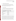#### <span id="page-32-0"></span>**B4 LABORATORY REFERENCE METHODS**

Table 5 lists the analytical methods that can be used to determine or measure the concentration of contaminants analyzed during verification tests performed following this protocol. Additional methods may be used provided they are appropriate for the contaminant and matrix and are documented in the TQAP for the verification test.

#### **B5 QUALITY CONTROL**

Steps will be taken to maintain the quality of data collected during verification tests conducted under this protocol. This will include analyzing specific quality control samples (QCS) at a regular frequency by the technologies undergoing verification. The QCSs will

| <b>Example Contaminant</b>      | <b>Method</b>                    |
|---------------------------------|----------------------------------|
| Trichloroethylene, toluene      | SW-846 8260B <sup>(2)</sup>      |
| Aldicarb                        | EPA 531.1 $^{(3)}$               |
| Dicrotophos                     | SW-846 8141 $\overline{A^{(4)}}$ |
| Arsenic, lead, mercury, cadmium | EPA 200.8 <sup>(5)</sup>         |
| PCBs (as Aroclor 1254)          | SW-846 8270 $\overline{C^{(6)}}$ |
| 2,3,7,8-TCDD                    | EPA $1613\overline{B^{(7)}}$     |
| Benzo[a]pyrene                  | SW-846 8270 $C^{(6)}$            |

**Table 5. Example Contaminant Compound Confirmatory Methods** 

include negative controls, positive controls, and calibration checks. Negative control samples, consisting of unspiked experimental matrix, will help ensure that no sources of contamination are introduced in the sample handling and analysis procedures. The positive control and calibration check samples, specified by each vendor, will indicate to the technical staff whether or not the technology is functioning properly. The vendor will provide the approximate endpoint that should result with their technology upon analysis of the positive control and calibration check. QCSs producing results that do not meet the anticipated results specified by the vendor will be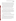<span id="page-33-0"></span>reanalyzed and corrective action taken if needed to ensure that test sample results are not affected. Corrective actions may include reanalyzing samples to verify that the technology has been operated properly, conducting maintenance, or recalibrating. Positive and negative controls will be analyzed at a frequency of approximately 5% based on the total number of test samples. Calibration checks will be analyzed according to guidance provided by each technology vendor.

As described in Section B4, the reference laboratory will follow standard reference methods for determining the toxins evaluated during verification tests conducted under this protocol. All reference measurements will be expected to meet the reference method QC requirements (such as those listed in Table 2) or, in absence of specific requirements in the reference method, the reference laboratory's standard requirements for QC samples.

#### **B6 INSTRUMENT/EQUIPMENT TESTING, INSPECTION, AND MAINTENANCE**

The equipment used by the test facility and/or reference laboratory will be tested, inspected, and maintained as per the SOPs of the test facility and/or reference laboratory and/or the manufacturer's recommendations so as to meet the performance requirements established in the TQAP. When technical staff operate and maintain technologies undergoing testing, they will follow directions provided by the technology vendor. Otherwise, operation and maintenance of the technologies will be the responsibility of the technology vendor.

#### **B7 CALIBRATION/VERIFICATION OF TEST PROCEDURES**

Systems used for reference analyses will be calibrated as appropriate before any reference samples are analyzed and recalibrated as needed based on the reference methods and/or reference laboratory SOPs.

Technologies undergoing testing will be calibrated initially by the respective technology vendor prior to shipping the technology to the test facility, or during training, and will be recalibrated according to direction from the vendor. Calibration checks will be performed upon direction of the vendor. In the event that recalibration is necessary, the recalibration will be carried out by the technology vendor or by technical staff under the direction of the vendor. All calibrations will be documented as appropriate by the technical staff or vendor.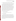#### <span id="page-34-0"></span>**B8 INSPECTION/ACCEPTANCE OF SUPPLIES AND CONSUMABLES**

All materials, supplies, and consumables will be ordered by the verification organization, unless otherwise donated from test collaborators. Where possible, the verification organization will rely on sources of materials and consumables that have been used previously as part of verification testing without problems. The verification organization will also rely on previous experience or recommendations from the verification program(s), stakeholders, test collaborators, subcontractors, or technology vendors. Where possible, materials or supplies will be traceable to the National Institute of Standards and Technology (NIST). Upon receipt of any supplies or consumables, the verification organization will visually inspect and ensure that the materials received are those that were ordered and that there are no visual signs of damage that could compromise the suitability of the materials. Certificates of analysis (COA) or other documentation of analytical purity will be checked for all reagents and standards to ensure suitability for the verification test and will be included with the test files. If damaged, unsuitable, or inappropriate goods are received, they will be returned or disposed of, and arrangements will be made to receive replacement materials.

#### **B9 NON-DIRECT MEASUREMENTS**

No non-direct measurements will be used during this verification test.

#### **B10 DATA MANAGEMENT**

Various types of data will be acquired and recorded electronically or manually by the verification organization, vendor, test collaborator, and/or subcontractor staff during the verification test. Table 3 summarizes the types of data to be recorded. All maintenance activities, repairs, calibrations, and operator observations relevant to the operation of the technologies will be documented by technical staff in LRBs or on data sheets. Results from the reference methods, including raw data, analyses, and final results, will be compiled by the reference laboratory, preferably in electronic format, and submitted to the verification organization at the conclusion of reference method testing.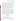<span id="page-35-0"></span>Records received or generated by any technical staff during the verification test will be reviewed by a verification organization staff member within two weeks of generation or receipt, before the records are used to calculate, evaluate, or report verification results. This review will be performed by a verification organization technical staff member involved in the verification test, but not the staff member who originally generated the record. The review will be documented by the person performing the review by adding his/her initials and date to the hard copy of the record being reviewed. In addition, any calculations performed by technical staff will be spot-checked by the verification organization QA and/or technical staff to ensure that calculations are performed correctly. Calculations to be checked include any statistical calculations described in this protocol. The data obtained from this verification test will be compiled and reported independently for each technology. Results for technologies from different vendors will not be compared with each other.

Among the QA activities conducted by verification organization QA staff will be an audit of data quality. This audit will consist of a review by the verification organization Quality Manager of at least 10% of the test data. The results of this audit will be compiled in an assessment report. During the course of any such audit, the verification organization Quality Manager will inform the technical staff of any findings and any need for immediate corrective action. If serious data quality problems exist, the verification organization Quality Manager will request that the verification organization Program Manager issue a stop work order. Once the assessment report has been prepared, the verification organization will ensure that a response is provided for each adverse finding or potential problem, and will implement any necessary follow-up corrective action. The verification organization Quality Manager will ensure that follow-up corrective action has been taken.

### **SECTION C ASSESSMENT AND OVERSIGHT**

#### **C1 ASSESSMENTS AND RESPONSE ACTIONS**

Every effort will be made in verification tests conducted under this protocol to anticipate and resolve potential problems before the quality of performance is compromised. One of the major objectives of this protocol is to establish mechanisms necessary to ensure this. Internal QC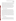measures described in this protocol, which is peer reviewed by a panel of outside experts, will be implemented by the technical staff; these QC measures will give information on data quality on a day-to-day basis. The responsibility for interpreting the results of these checks and resolving any potential problems resides with the verification organization. Technical staff have the responsibility to identify problems that could affect data quality or the ability to use the data. Technical staff will work with the verification organization Quality Manager to resolve any problems that are identified. Action will be taken to control the problem, identify a solution to the problem, minimize losses and correct data, where possible. Independent of any verification program QA activities, the verification organization will be responsible for ensuring that the audits described in the following sections are conducted as part of this verification test.

#### **C1.1 Performance Evaluation Audits**

A performance evaluation (PE) audit will be conducted to assess the quality of the reference method measurements made in this verification test. The PE audit of the reference methods will be performed by supplying each reference method a blind sample or standard reference material containing the toxins of interest. The PE audit samples will be analyzed in the same manner as all other samples, and the analytical results for the PE audit samples will be compared with the nominal concentration or certified value. The target criterion for this PE audit is agreement of the analytical result within 25% of the nominal concentration [by percent difference (PD)] or within 25% of the certified value (by PD). If the PE audit results do not meet the tolerances shown, they will be repeated. If the outlying results persist, a change in reference instrument and a repeat of the PE audit may be considered. This audit will be performed once prior to the start of the test and will be the responsibility of the verification organization Quality Manager or designee.

#### **C1.2 Technical Systems Audits**

The verification organization Quality Manager or designee will perform a TSA at least once during verification tests conducted under this protocol. The purpose of this audit is to ensure that the verification test is being performed in accordance with the quality plans in place at the verification organization, this protocol, published reference methods, and any SOPs used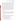by the reference laboratory. In the TSA, the verification organization Quality Manager, or a designee, may review the reference methods used, compare actual test procedures to those specified or referenced in this protocol, and review data acquisition and handling procedures. In the TSA, the verification organization Quality Manager will tour the test facility, observe sample collection if appropriate, inspect documentation of sample COC, and review technology-specific records. He or she will also check standard certifications and technology data acquisition procedures and may confer with the technology vendors, reference laboratory, and technical staff. The verification organization Quality Manager may also visit the reference laboratory to review procedures and adherence to this plan and applicable SOPs. A TSA report will be prepared, including a statement of findings and the actions taken to address any adverse findings. The verification program Quality Manager will receive a copy of the verification organization's TSA report. At the verification program's discretion, verification program QA staff may also conduct an independent on-site TSA during the verification test. The TSA findings will be communicated to technical staff at the time of the audit and documented in a TSA report.

#### **C1.3 Data Quality Audits**

The verification organization Quality Manager or designee will audit at least 10% of the verification data acquired in the verification test. The verification organization Quality Manager will trace the data from initial acquisition, through reduction and statistical comparisons, to final reporting. All calculations performed on the data undergoing the audit will be checked.

#### **C1.4 QA/QC Reporting**

Each assessment and audit will be documented and submitted in accordance with the verification organization's quality management plan. The results of the TSA will be submitted to the verification program. Assessment reports will include the following:

- Identification of any adverse findings or potential problems
- Response to adverse findings or potential problems
- Recommendations for resolving problems
- Confirmation that solutions have been implemented and are effective
- Citation of any noteworthy practices that may be of use to others.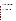#### <span id="page-38-0"></span>**C2 REPORTS TO MANAGEMENT**

The verification organization Quality Manager, during the course of any assessment or audit, will identify to the technical staff performing experimental activities any immediate corrective action that should be taken. If serious quality problems exist, the verification organization Quality Manager is authorized to request that the verification organization Program Manager issue a stop work order. Once the assessment report has been prepared, the verification organization will ensure that a response is provided for each adverse finding or potential problem and will implement any necessary follow-up corrective action. The verification organization's Quality Manager will ensure that follow-up corrective action has been taken. This protocol, any TQAPs based on this protocol, and final verification reports are reviewed by the verification organization's QA staff and the verification organization program management staff. Upon final review and approval, both documents may be posted on the verification organization's and verification program's web site, if applicable.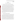### **SECTION D DATA VALIDATION AND USABILITY**

#### <span id="page-39-0"></span>**D1 DATA REVIEW, VALIDATION, AND VERIFICATION REQUIREMENTS**

The key data review requirements for the verification test are stated in Section B10 of this protocol. In general, the data review requirements specify that the data generated during this test will be reviewed by a verification organization technical staff member within two weeks of generation of the data. The reviewer will be familiar with the technical aspects of the verification test, but will not be the person who generated the data. This process will serve both as the data review and the data verification and will ensure that the data have been recorded, transmitted, and processed properly. Furthermore, this process will ensure that the soil toxicity detecting technology data and the reference method data were collected under appropriate testing conditions and that the reference method data meet the specifications of the reference method.

The data validation requirements for this test involve an assessment of the data quality relative to the DQIs and audit acceptance criteria specified for this test. The DQIs listed in Section B5 will be used to validate the quality of the data. The QA audits described within Section C of this document, including the PE audit and audit of data quality, are designed to validate the quality of the data.

#### **D2 VALIDATION AND VERIFICATION METHODS**

Data verification is conducted as part of the data review, as described in Section B10 of this protocol. A visual inspection of handwritten data will be conducted to ensure that all entries were properly recorded or transcribed and that any erroneous entries were properly noted (i.e., single line through the entry with an explanation of the error and the initials of the recorder and date of entry). Electronic data from the technologies and other instruments used during the test will be inspected to ensure proper transfer from the datalogging system. Data manually incorporated into spreadsheets for use in calculations will be checked against handwritten data to ensure that transcription errors have not occurred. All calculations used to transform the data will be reviewed to ensure the accuracy and the appropriateness of the calculations. Calculations performed manually will be reviewed and repeated using a handheld calculator or commercial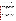<span id="page-40-0"></span>software (e.g., Excel). Calculations performed using standard commercial office software (e.g., Excel) will be reviewed by inspecting the equations used in calculations and verifying selected calculations by handheld calculator. Calculations performed using specialized commercial software (i.e., for analytical instrumentation) will be reviewed by inspecting and, when feasible, verifying by handheld calculator or standard commercial office software.

To ensure that the data generated from this test meet the goals of the test, a number of data validation procedures will be performed. Section C of this protocol describes the validation safeguards employed for this verification test. Data validation and verification efforts include the completion of QC activities and the performance of TSA and PE audits as described in Section C. The data from this test will be evaluated relative to the measurement DQIs described in Section B5, and the PE audit acceptance criteria given in Section C1.1 of this protocol. Data failing to meet these criteria will be flagged in the data set and not used for evaluation of the technologies, unless these deviations are accompanied by descriptions that adequately demonstrate that data quality was not compromised.

An audit of data quality will be conducted by the verification organization's Quality Manager to ensure that data review, verification, and validation procedures were completed and to assure the overall data quality. The schedule for completing TSA, PE and audits of data quality are included in Table 1.

#### **D3 RECONCILIATION WITH USER REQUIREMENTS**

The purpose of a verification test performed following this protocol is to evaluate the performance of commercial technologies for detecting toxicity in soil. In part, this evaluation will include comparisons of the results from the technologies to results from established analytical reference methods. To meet the requirements of the user community, the data obtained in such a verification test should include thorough documentation of the performance of the technologies during the verification test. The data review, verification, and validation procedures described above will ensure that verification test data meet these requirements and are accurately presented in the verification reports generated from the test and that data not meeting these requirements are appropriately flagged and discussed in the verification reports. Additionally, all data generated using reference methods that are used to evaluate technology results during the verification test should meet the QA requirements of the reference methods.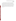This joint verification protocol and any resulting verification report(s) generated following procedures described in this protocol will be reviewed by participating technology vendors, verification organization staff, test collaborators, the verification program(s), and external expert peer reviewers. These reviews will ensure that this protocol, verification test(s) of technologies for detecting toxicity in soil, and the resulting report(s) meet the needs of potential users and regulators. The final report(s) will be submitted to the verification program(s) in Microsoft Word and in 508 compliant Adobe Portable Document Format (pdf). If applicable, the final report subsequently may be posted on the verification organization's and verification program's web site.